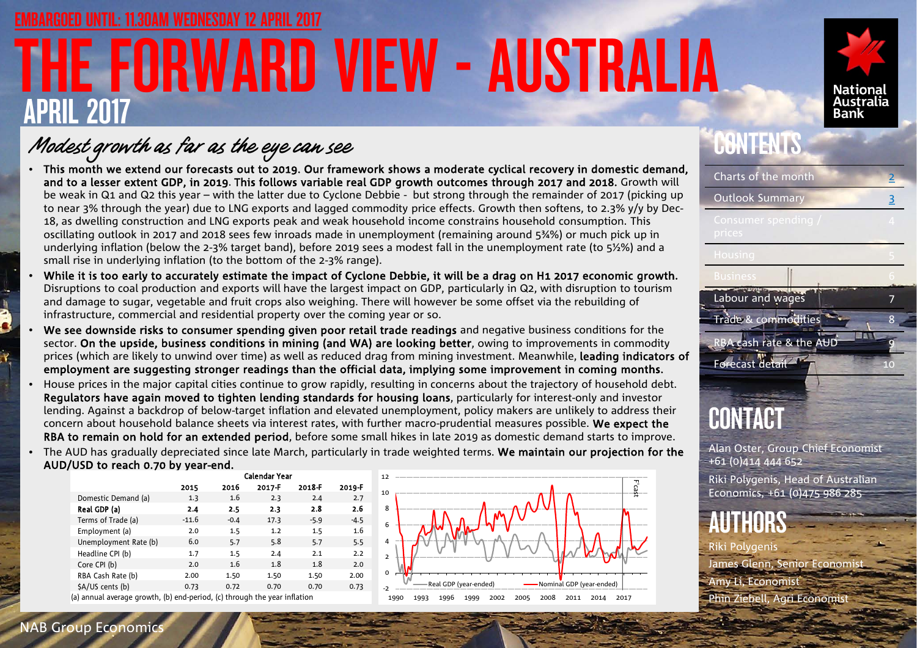# E FORWARD VIEW - AUSTRALIA APRIL 2017 EMBARGOED UNTIL: 11.30AM WEDNESDAY 12 APRIL 2017



### Modest growth as far as the eye can see

- This month we extend our forecasts out to 2019. Our framework shows a moderate cyclical recovery in domestic demand, and to a lesser extent GDP, in 2019. This follows variable real GDP growth outcomes through 2017 and 2018. Growth will be weak in Q1 and Q2 this year – with the latter due to Cyclone Debbie - but strong through the remainder of 2017 (picking up to near 3% through the year) due to LNG exports and lagged commodity price effects. Growth then softens, to 2.3% y/y by Dec-18, as dwelling construction and LNG exports peak and weak household income constrains household consumption. This oscillating outlook in 2017 and 2018 sees few inroads made in unemployment (remaining around 5¾%) or much pick up in underlying inflation (below the 2-3% target band), before 2019 sees a modest fall in the unemployment rate (to 5½%) and a small rise in underlying inflation (to the bottom of the 2-3% range).
- While it is too early to accurately estimate the impact of Cyclone Debbie, it will be a drag on H1 2017 economic growth. Disruptions to coal production and exports will have the largest impact on GDP, particularly in Q2, with disruption to tourism and damage to sugar, vegetable and fruit crops also weighing. There will however be some offset via the rebuilding of infrastructure, commercial and residential property over the coming year or so.
- We see downside risks to consumer spending given poor retail trade readings and negative business conditions for the sector. On the upside, business conditions in mining (and WA) are looking better, owing to improvements in commodity prices (which are likely to unwind over time) as well as reduced drag from mining investment. Meanwhile, leading indicators of employment are suggesting stronger readings than the official data, implying some improvement in coming months.
- House prices in the major capital cities continue to grow rapidly, resulting in concerns about the trajectory of household debt. Regulators have again moved to tighten lending standards for housing loans, particularly for interest-only and investor lending. Against a backdrop of below-target inflation and elevated unemployment, policy makers are unlikely to address their concern about household balance sheets via interest rates, with further macro-prudential measures possible. We expect the RBA to remain on hold for an extended period, before some small hikes in late 2019 as domestic demand starts to improve.
- The AUD has gradually depreciated since late March, particularly in trade weighted terms. We maintain our projection for the AUD/USD to reach 0.70 by year-end.

|                                                                                                  |         |        | <b>Calendar Year</b> |        |        |
|--------------------------------------------------------------------------------------------------|---------|--------|----------------------|--------|--------|
|                                                                                                  | 2015    | 2016   | 2017-F               | 2018-F | 2019-F |
| Domestic Demand (a)                                                                              | 1.3     | 1.6    | 2.3                  | 2.4    | 2.7    |
| Real GDP (a)                                                                                     | 2.4     | 2.5    | 2.3                  | 2.8    | 2.6    |
| Terms of Trade (a)                                                                               | $-11.6$ | $-0.4$ | 17.3                 | $-5.9$ | $-4.5$ |
| Employment (a)                                                                                   | 2.0     | 1.5    | 1.2                  | 1.5    | 1.6    |
| Unemployment Rate (b)                                                                            | 6.0     | 5.7    | 5.8                  | 5.7    | 5.5    |
| Headline CPI (b)                                                                                 | 1.7     | 1.5    | 2.4                  | 2.1    | 2.2    |
| Core CPI (b)                                                                                     | 2.0     | 1.6    | 1.8                  | 1.8    | 2.0    |
| RBA Cash Rate (b)                                                                                | 2.00    | 1.50   | 1.50                 | 1.50   | 2.00   |
| \$A/US cents (b)                                                                                 | 0.73    | 0.72   | 0.70                 | 0.70   | 0.73   |
| $\alpha$ annual question aroust $\alpha$ (b) and noticed $\alpha$ (c) through the very inflation |         |        |                      |        |        |

(a) annual average growth, (b) end-period, (c) through the year inflation



## **CONTENTS**

| Charts of the month            |    |  |  |  |  |
|--------------------------------|----|--|--|--|--|
| <b>Outlook Summary</b>         |    |  |  |  |  |
| Consumer spending /<br>prices  | 4  |  |  |  |  |
| <b>Housing</b>                 |    |  |  |  |  |
| <b>Business</b>                |    |  |  |  |  |
| Labour and wages               |    |  |  |  |  |
| <b>Trade &amp; commodities</b> | 8  |  |  |  |  |
| RBA cash rate & the AUD        |    |  |  |  |  |
| Forecast detail                | 10 |  |  |  |  |
|                                |    |  |  |  |  |

## CONTACT

Alan Oster, Group Chief Economist +61 (0)414 444 652

Riki Polygenis, Head of Australian Economics, +61 (0)475 986 285

## AUTHORS

Riki Polygenis James Glenn, Senior Economis Amy Li, Economist Phin Ziebell, Agri Economist

1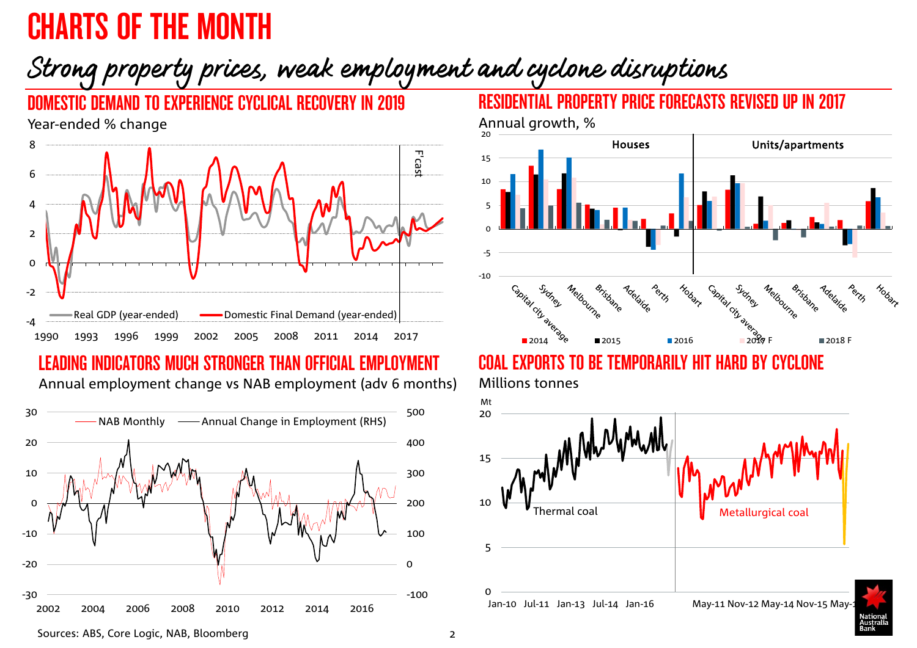# <span id="page-1-0"></span>CHARTS OF THE MONTH

## Strong property prices, weak employment and cyclone disruptions



### LEADING INDICATORS MUCH STRONGER THAN OFFICIAL EMPLOYMENT

Annual employment change vs NAB employment (adv 6 months)



### RESIDENTIAL PROPERTY PRICE FORECASTS REVISED UP IN 2017 Annual growth, %



COAL EXPORTS TO BE TEMPORARILY HIT HARD BY CYCLONE



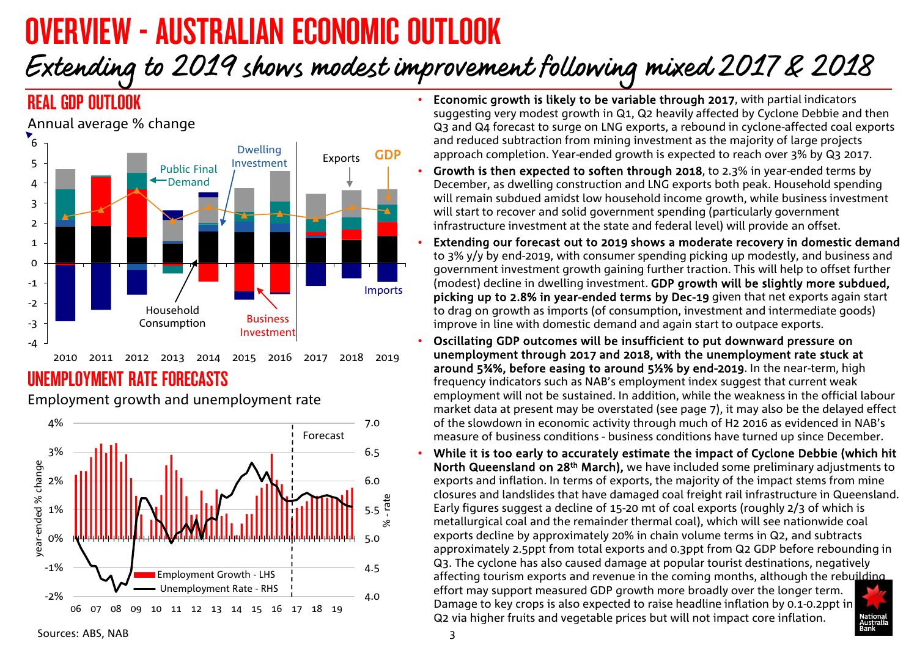# <span id="page-2-0"></span>OVERVIEW - AUSTRALIAN ECONOMIC OUTLOOK

## Extending to 2019 shows modest improvement following mixed 2017 & 2018



### UNEMPLOYMENT RATE FORECASTS

Employment growth and unemployment rate



- Economic growth is likely to be variable through 2017, with partial indicators suggesting very modest growth in Q1, Q2 heavily affected by Cyclone Debbie and then Q3 and Q4 forecast to surge on LNG exports, a rebound in cyclone-affected coal exports and reduced subtraction from mining investment as the majority of large projects approach completion. Year-ended growth is expected to reach over 3% by Q3 2017.
- Growth is then expected to soften through 2018, to 2.3% in year-ended terms by December, as dwelling construction and LNG exports both peak. Household spending will remain subdued amidst low household income growth, while business investment will start to recover and solid government spending (particularly government infrastructure investment at the state and federal level) will provide an offset.
- Extending our forecast out to 2019 shows a moderate recovery in domestic demand to 3% y/y by end-2019, with consumer spending picking up modestly, and business and government investment growth gaining further traction. This will help to offset further (modest) decline in dwelling investment. GDP growth will be slightly more subdued, picking up to 2.8% in year-ended terms by Dec-19 given that net exports again start to drag on growth as imports (of consumption, investment and intermediate goods) improve in line with domestic demand and again start to outpace exports.
- Oscillating GDP outcomes will be insufficient to put downward pressure on unemployment through 2017 and 2018, with the unemployment rate stuck at around 5¾%, before easing to around 5½% by end-2019. In the near-term, high frequency indicators such as NAB's employment index suggest that current weak employment will not be sustained. In addition, while the weakness in the official labour market data at present may be overstated (see page 7), it may also be the delayed effect of the slowdown in economic activity through much of H2 2016 as evidenced in NAB's measure of business conditions - business conditions have turned up since December.
- While it is too early to accurately estimate the impact of Cyclone Debbie (which hit North Queensland on 28<sup>th</sup> March), we have included some preliminary adjustments to exports and inflation. In terms of exports, the majority of the impact stems from mine closures and landslides that have damaged coal freight rail infrastructure in Queensland. Early figures suggest a decline of 15-20 mt of coal exports (roughly 2/3 of which is metallurgical coal and the remainder thermal coal), which will see nationwide coal exports decline by approximately 20% in chain volume terms in Q2, and subtracts approximately 2.5ppt from total exports and 0.3ppt from Q2 GDP before rebounding in Q3. The cyclone has also caused damage at popular tourist destinations, negatively affecting tourism exports and revenue in the coming months, although the rebuilding effort may support measured GDP growth more broadly over the longer term. Damage to key crops is also expected to raise headline inflation by 0.1-0.2ppt in Q2 via higher fruits and vegetable prices but will not impact core inflation.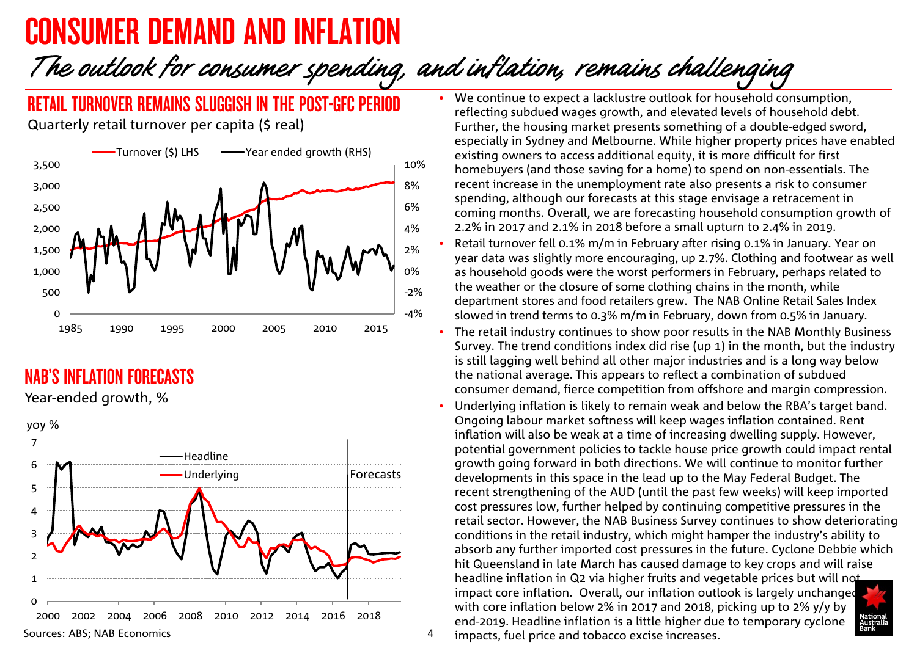## CONSUMER DEMAND AND INFLATION

## The outlook for consumer spending, and inflation, remains challenging

### RETAIL TURNOVER REMAINS SLUGGISH IN THE POST-GFC PERIOD

Quarterly retail turnover per capita (\$ real)



### NAB'S INFLATION FORECASTS

Year-ended growth, %



- We continue to expect a lacklustre outlook for household consumption, reflecting subdued wages growth, and elevated levels of household debt. Further, the housing market presents something of a double-edged sword, especially in Sydney and Melbourne. While higher property prices have enabled existing owners to access additional equity, it is more difficult for first homebuyers (and those saving for a home) to spend on non-essentials. The recent increase in the unemployment rate also presents a risk to consumer spending, although our forecasts at this stage envisage a retracement in coming months. Overall, we are forecasting household consumption growth of 2.2% in 2017 and 2.1% in 2018 before a small upturn to 2.4% in 2019.
- Retail turnover fell 0.1% m/m in February after rising 0.1% in January. Year on year data was slightly more encouraging, up 2.7%. Clothing and footwear as well as household goods were the worst performers in February, perhaps related to the weather or the closure of some clothing chains in the month, while department stores and food retailers grew. The NAB Online Retail Sales Index slowed in trend terms to 0.3% m/m in February, down from 0.5% in January.
- The retail industry continues to show poor results in the NAB Monthly Business Survey. The trend conditions index did rise (up 1) in the month, but the industry is still lagging well behind all other major industries and is a long way below the national average. This appears to reflect a combination of subdued consumer demand, fierce competition from offshore and margin compression.
- Underlying inflation is likely to remain weak and below the RBA's target band. Ongoing labour market softness will keep wages inflation contained. Rent inflation will also be weak at a time of increasing dwelling supply. However, potential government policies to tackle house price growth could impact rental growth going forward in both directions. We will continue to monitor further developments in this space in the lead up to the May Federal Budget. The recent strengthening of the AUD (until the past few weeks) will keep imported cost pressures low, further helped by continuing competitive pressures in the retail sector. However, the NAB Business Survey continues to show deteriorating conditions in the retail industry, which might hamper the industry's ability to absorb any further imported cost pressures in the future. Cyclone Debbie which hit Queensland in late March has caused damage to key crops and will raise headline inflation in Q2 via higher fruits and vegetable prices but will not impact core inflation. Overall, our inflation outlook is largely unchanged with core inflation below 2% in 2017 and 2018, picking up to 2% y/y by end-2019. Headline inflation is a little higher due to temporary cyclone Austral<br>Bank
- 4 impacts, fuel price and tobacco excise increases.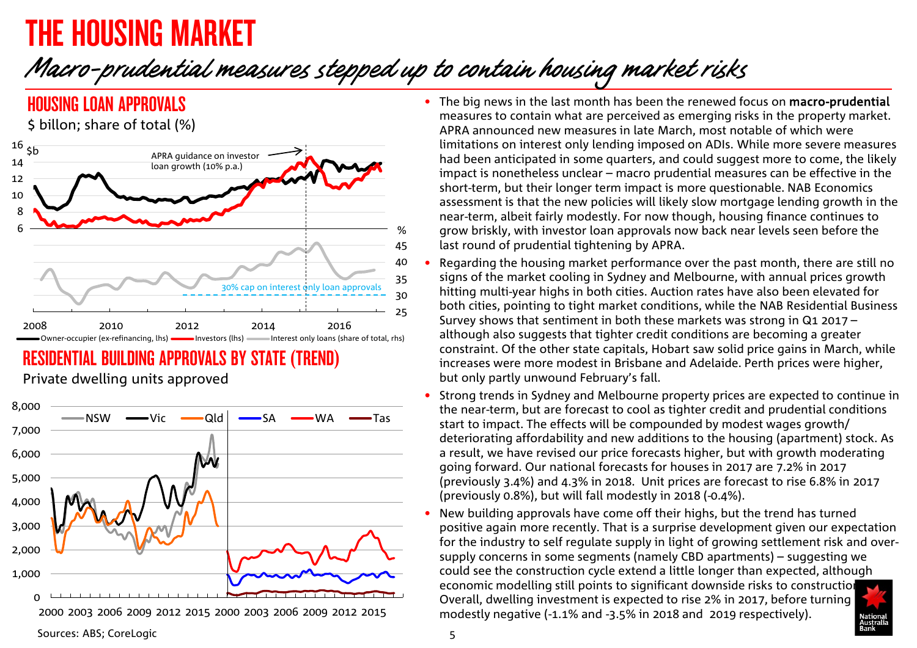# THE HOUSING MARKET

## Macro-prudential measures stepped up to contain housing market risks



### RESIDENTIAL BUILDING APPROVALS BY STATE (TREND)

Private dwelling units approved



- The big news in the last month has been the renewed focus on macro-prudential measures to contain what are perceived as emerging risks in the property market. APRA announced new measures in late March, most notable of which were limitations on interest only lending imposed on ADIs. While more severe measures had been anticipated in some quarters, and could suggest more to come, the likely impact is nonetheless unclear – macro prudential measures can be effective in the short-term, but their longer term impact is more questionable. NAB Economics assessment is that the new policies will likely slow mortgage lending growth in the near-term, albeit fairly modestly. For now though, housing finance continues to grow briskly, with investor loan approvals now back near levels seen before the last round of prudential tightening by APRA.
- Regarding the housing market performance over the past month, there are still no signs of the market cooling in Sydney and Melbourne, with annual prices growth hitting multi-year highs in both cities. Auction rates have also been elevated for both cities, pointing to tight market conditions, while the NAB Residential Business Survey shows that sentiment in both these markets was strong in Q1 2017 – although also suggests that tighter credit conditions are becoming a greater constraint. Of the other state capitals, Hobart saw solid price gains in March, while increases were more modest in Brisbane and Adelaide. Perth prices were higher, but only partly unwound February's fall.
- Strong trends in Sydney and Melbourne property prices are expected to continue in the near-term, but are forecast to cool as tighter credit and prudential conditions start to impact. The effects will be compounded by modest wages growth/ deteriorating affordability and new additions to the housing (apartment) stock. As a result, we have revised our price forecasts higher, but with growth moderating going forward. Our national forecasts for houses in 2017 are 7.2% in 2017 (previously 3.4%) and 4.3% in 2018. Unit prices are forecast to rise 6.8% in 2017 (previously 0.8%), but will fall modestly in 2018 (-0.4%).
- New building approvals have come off their highs, but the trend has turned positive again more recently. That is a surprise development given our expectation for the industry to self regulate supply in light of growing settlement risk and oversupply concerns in some segments (namely CBD apartments) – suggesting we could see the construction cycle extend a little longer than expected, although economic modelling still points to significant downside risks to construction Overall, dwelling investment is expected to rise 2% in 2017, before turning modestly negative (-1.1% and -3.5% in 2018 and 2019 respectively).

Sources: ABS; CoreLogic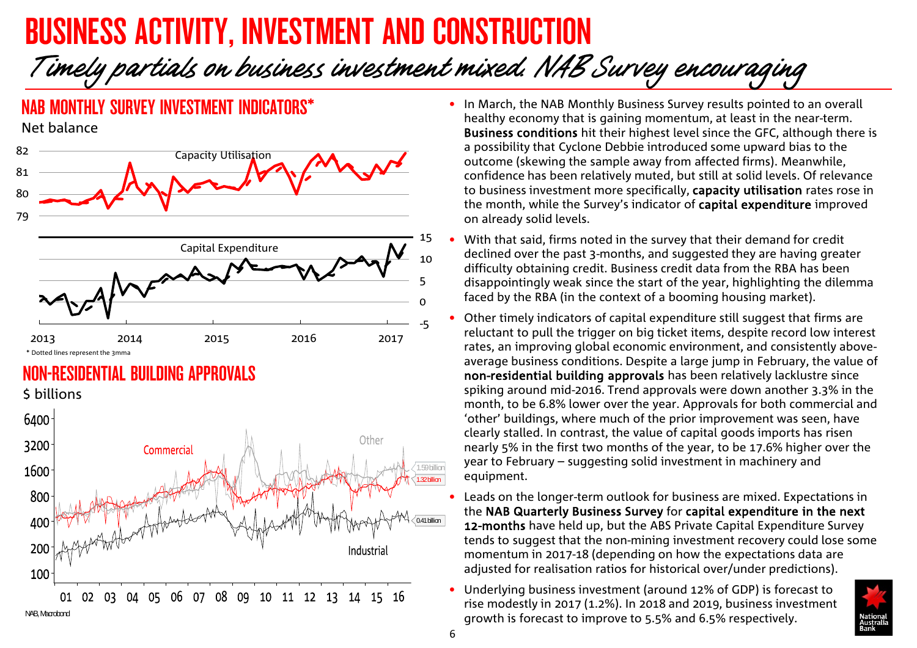# BUSINESS ACTIVITY, INVESTMENT AND CONSTRUCTION

## Timely partials on business investment mixed. NAB Survey encouraging

### NAB MONTHLY SURVEY INVESTMENT INDICATORS\* Net balance



### NON-RESIDENTIAL BUILDING APPROVALS



- In March, the NAB Monthly Business Survey results pointed to an overall healthy economy that is gaining momentum, at least in the near-term. Business conditions hit their highest level since the GFC, although there is a possibility that Cyclone Debbie introduced some upward bias to the outcome (skewing the sample away from affected firms). Meanwhile, confidence has been relatively muted, but still at solid levels. Of relevance to business investment more specifically, capacity utilisation rates rose in the month, while the Survey's indicator of capital expenditure improved on already solid levels.
- With that said, firms noted in the survey that their demand for credit declined over the past 3-months, and suggested they are having greater difficulty obtaining credit. Business credit data from the RBA has been disappointingly weak since the start of the year, highlighting the dilemma faced by the RBA (in the context of a booming housing market).
- Other timely indicators of capital expenditure still suggest that firms are reluctant to pull the trigger on big ticket items, despite record low interest rates, an improving global economic environment, and consistently aboveaverage business conditions. Despite a large jump in February, the value of non-residential building approvals has been relatively lacklustre since spiking around mid-2016. Trend approvals were down another 3.3% in the month, to be 6.8% lower over the year. Approvals for both commercial and 'other' buildings, where much of the prior improvement was seen, have clearly stalled. In contrast, the value of capital goods imports has risen nearly 5% in the first two months of the year, to be 17.6% higher over the year to February – suggesting solid investment in machinery and equipment.
- Leads on the longer-term outlook for business are mixed. Expectations in the NAB Quarterly Business Survey for capital expenditure in the next 12-months have held up, but the ABS Private Capital Expenditure Survey tends to suggest that the non-mining investment recovery could lose some momentum in 2017-18 (depending on how the expectations data are adjusted for realisation ratios for historical over/under predictions).
- Underlying business investment (around 12% of GDP) is forecast to rise modestly in 2017 (1.2%). In 2018 and 2019, business investment growth is forecast to improve to 5.5% and 6.5% respectively.

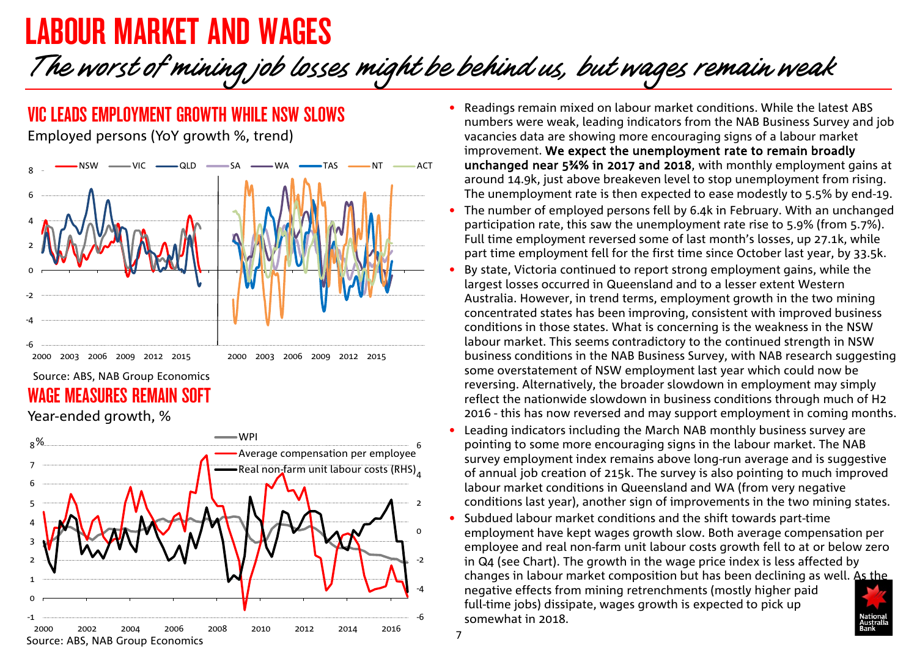## LABOUR MARKET AND WAGES

# The worst of mining job losses might be behind us, but wages remain weak

### VIC LEADS EMPLOYMENT GROWTH WHILE NSW SLOWS

Employed persons (YoY growth %, trend)



### WAGE MEASURES REMAIN SOFT

Year-ended growth, %



- Readings remain mixed on labour market conditions. While the latest ABS numbers were weak, leading indicators from the NAB Business Survey and job vacancies data are showing more encouraging signs of a labour market improvement. We expect the unemployment rate to remain broadly unchanged near 5¾% in 2017 and 2018, with monthly employment gains at around 14.9k, just above breakeven level to stop unemployment from rising. The unemployment rate is then expected to ease modestly to 5.5% by end-19.
- The number of employed persons fell by 6.4k in February. With an unchanged participation rate, this saw the unemployment rate rise to 5.9% (from 5.7%). Full time employment reversed some of last month's losses, up 27.1k, while part time employment fell for the first time since October last year, by 33.5k.
- By state, Victoria continued to report strong employment gains, while the largest losses occurred in Queensland and to a lesser extent Western Australia. However, in trend terms, employment growth in the two mining concentrated states has been improving, consistent with improved business conditions in those states. What is concerning is the weakness in the NSW labour market. This seems contradictory to the continued strength in NSW business conditions in the NAB Business Survey, with NAB research suggesting some overstatement of NSW employment last year which could now be reversing. Alternatively, the broader slowdown in employment may simply reflect the nationwide slowdown in business conditions through much of H2 2016 - this has now reversed and may support employment in coming months.
- Leading indicators including the March NAB monthly business survey are pointing to some more encouraging signs in the labour market. The NAB survey employment index remains above long-run average and is suggestive of annual job creation of 215k. The survey is also pointing to much improved labour market conditions in Queensland and WA (from very negative conditions last year), another sign of improvements in the two mining states.
- Subdued labour market conditions and the shift towards part-time employment have kept wages growth slow. Both average compensation per employee and real non-farm unit labour costs growth fell to at or below zero in Q4 (see Chart). The growth in the wage price index is less affected by changes in labour market composition but has been declining as well. As the negative effects from mining retrenchments (mostly higher paid full-time jobs) dissipate, wages growth is expected to pick up somewhat in 2018.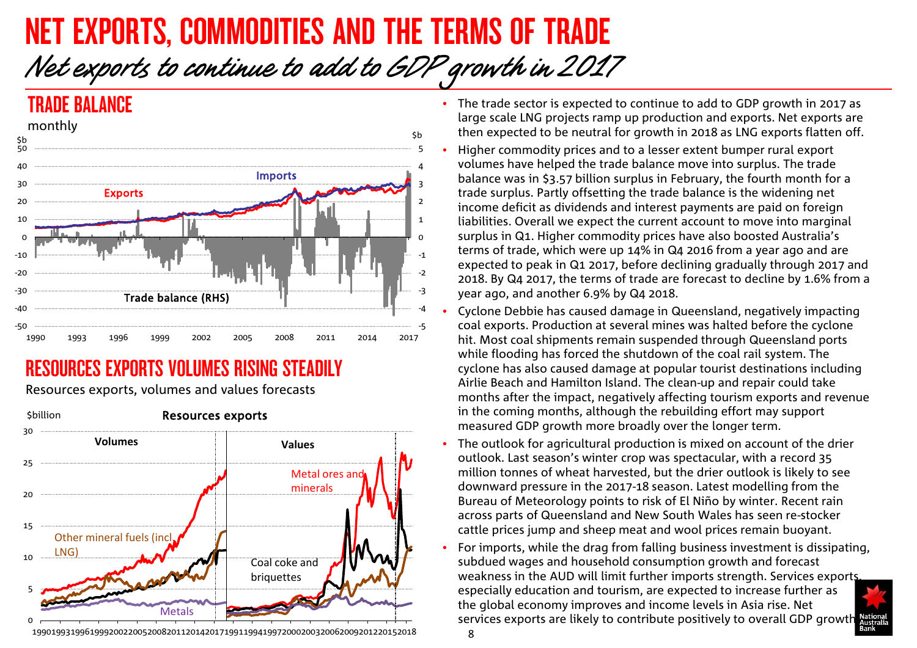## NET EXPORTS, COMMODITIES AND THE TERMS OF TRADE Net exports to continue to add to GDP growth in 2017



### RESOURCES EXPORTS VOLUMES RISING STEADILY

Resources exports, volumes and values forecasts



- The trade sector is expected to continue to add to GDP growth in 2017 as large scale LNG projects ramp up production and exports. Net exports are then expected to be neutral for growth in 2018 as LNG exports flatten off.
- Higher commodity prices and to a lesser extent bumper rural export volumes have helped the trade balance move into surplus. The trade balance was in \$3.57 billion surplus in February, the fourth month for a trade surplus. Partly offsetting the trade balance is the widening net income deficit as dividends and interest payments are paid on foreign liabilities. Overall we expect the current account to move into marginal surplus in Q1. Higher commodity prices have also boosted Australia's terms of trade, which were up 14% in Q4 2016 from a year ago and are expected to peak in Q1 2017, before declining gradually through 2017 and 2018. By Q4 2017, the terms of trade are forecast to decline by 1.6% from a year ago, and another 6.9% by Q4 2018.
- Cyclone Debbie has caused damage in Queensland, negatively impacting coal exports. Production at several mines was halted before the cyclone hit. Most coal shipments remain suspended through Queensland ports while flooding has forced the shutdown of the coal rail system. The cyclone has also caused damage at popular tourist destinations including Airlie Beach and Hamilton Island. The clean-up and repair could take months after the impact, negatively affecting tourism exports and revenue in the coming months, although the rebuilding effort may support measured GDP growth more broadly over the longer term.
- The outlook for agricultural production is mixed on account of the drier outlook. Last season's winter crop was spectacular, with a record 35 million tonnes of wheat harvested, but the drier outlook is likely to see downward pressure in the 2017-18 season. Latest modelling from the Bureau of Meteorology points to risk of El Niño by winter. Recent rain across parts of Queensland and New South Wales has seen re-stocker cattle prices jump and sheep meat and wool prices remain buoyant.
- For imports, while the drag from falling business investment is dissipating, subdued wages and household consumption growth and forecast weakness in the AUD will limit further imports strength. Services exports, especially education and tourism, are expected to increase further as the global economy improves and income levels in Asia rise. Net services exports are likely to contribute positively to overall GDP growth

19901993199619992002200520082011201420171991199419972000200320062009201220152018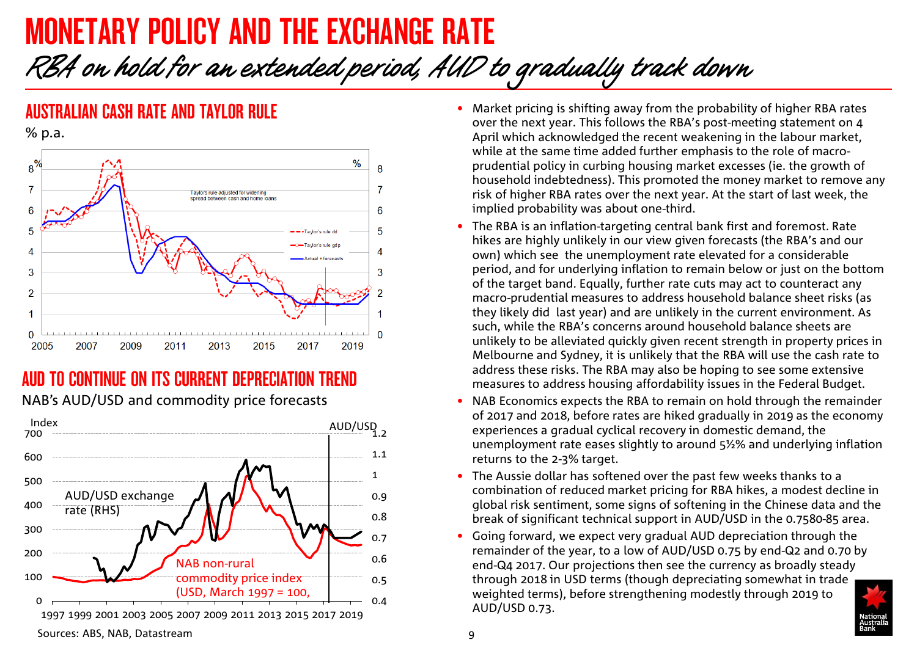## MONETARY POLICY AND THE EXCHANGE RATE

## RBA on hold for an extended period, AUD to gradually track down

### AUSTRALIAN CASH RATE AND TAYLOR RULE

% p.a.



### AUD TO CONTINUE ON ITS CURRENT DEPRECIATION TREND NAB's AUD/USD and commodity price forecasts



- Market pricing is shifting away from the probability of higher RBA rates over the next year. This follows the RBA's post-meeting statement on 4 April which acknowledged the recent weakening in the labour market, while at the same time added further emphasis to the role of macroprudential policy in curbing housing market excesses (ie. the growth of household indebtedness). This promoted the money market to remove any risk of higher RBA rates over the next year. At the start of last week, the implied probability was about one-third.
- The RBA is an inflation-targeting central bank first and foremost. Rate hikes are highly unlikely in our view given forecasts (the RBA's and our own) which see the unemployment rate elevated for a considerable period, and for underlying inflation to remain below or just on the bottom of the target band. Equally, further rate cuts may act to counteract any macro-prudential measures to address household balance sheet risks (as they likely did last year) and are unlikely in the current environment. As such, while the RBA's concerns around household balance sheets are unlikely to be alleviated quickly given recent strength in property prices in Melbourne and Sydney, it is unlikely that the RBA will use the cash rate to address these risks. The RBA may also be hoping to see some extensive measures to address housing affordability issues in the Federal Budget.
- NAB Economics expects the RBA to remain on hold through the remainder of 2017 and 2018, before rates are hiked gradually in 2019 as the economy experiences a gradual cyclical recovery in domestic demand, the unemployment rate eases slightly to around 5½% and underlying inflation returns to the 2-3% target.
- The Aussie dollar has softened over the past few weeks thanks to a combination of reduced market pricing for RBA hikes, a modest decline in global risk sentiment, some signs of softening in the Chinese data and the break of significant technical support in AUD/USD in the 0.7580-85 area.
- Going forward, we expect very gradual AUD depreciation through the remainder of the year, to a low of AUD/USD 0.75 by end-Q2 and 0.70 by end-Q4 2017. Our projections then see the currency as broadly steady through 2018 in USD terms (though depreciating somewhat in trade weighted terms), before strengthening modestly through 2019 to AUD/USD 0.73.

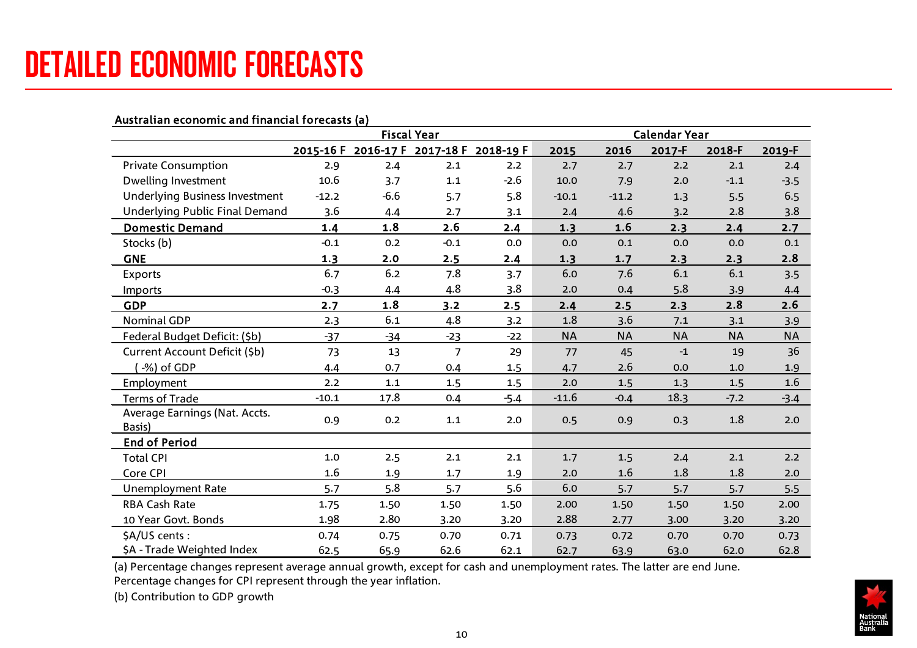# DETAILED ECONOMIC FORECASTS

|                                         |         | <b>Calendar Year</b>                    |        |        |           |           |           |           |           |
|-----------------------------------------|---------|-----------------------------------------|--------|--------|-----------|-----------|-----------|-----------|-----------|
|                                         |         | 2015-16 F 2016-17 F 2017-18 F 2018-19 F |        |        | 2015      | 2016      | 2017-F    | 2018-F    | 2019-F    |
| <b>Private Consumption</b>              | 2.9     | 2.4                                     | 2.1    | 2.2    | 2.7       | 2.7       | 2.2       | 2.1       | 2.4       |
| Dwelling Investment                     | 10.6    | 3.7                                     | 1.1    | $-2.6$ | 10.0      | 7.9       | 2.0       | $-1.1$    | $-3.5$    |
| <b>Underlying Business Investment</b>   | $-12.2$ | $-6.6$                                  | 5.7    | 5.8    | $-10.1$   | $-11.2$   | 1.3       | 5.5       | 6.5       |
| Underlying Public Final Demand          | 3.6     | 4.4                                     | 2.7    | 3.1    | 2.4       | 4.6       | 3.2       | 2.8       | 3.8       |
| <b>Domestic Demand</b>                  | 1.4     | 1.8                                     | 2.6    | 2.4    | 1.3       | 1.6       | 2.3       | 2.4       | 2.7       |
| Stocks (b)                              | $-0.1$  | 0.2                                     | $-0.1$ | 0.0    | 0.0       | 0.1       | 0.0       | 0.0       | 0.1       |
| <b>GNE</b>                              | 1.3     | 2.0                                     | 2.5    | 2.4    | 1.3       | 1.7       | 2.3       | 2.3       | 2.8       |
| Exports                                 | 6.7     | 6.2                                     | 7.8    | 3.7    | 6.0       | 7.6       | 6.1       | 6.1       | 3.5       |
| <b>Imports</b>                          | $-0.3$  | 4.4                                     | 4.8    | 3.8    | 2.0       | 0.4       | 5.8       | 3.9       | 4.4       |
| <b>GDP</b>                              | 2.7     | 1.8                                     | 3.2    | 2.5    | 2.4       | 2.5       | 2.3       | 2.8       | 2.6       |
| <b>Nominal GDP</b>                      | 2.3     | 6.1                                     | 4.8    | 3.2    | 1.8       | 3.6       | 7.1       | 3.1       | 3.9       |
| Federal Budget Deficit: (\$b)           | $-37$   | $-34$                                   | $-23$  | $-22$  | <b>NA</b> | <b>NA</b> | <b>NA</b> | <b>NA</b> | <b>NA</b> |
| Current Account Deficit (\$b)           | 73      | 13                                      | 7      | 29     | 77        | 45        | $-1$      | 19        | 36        |
| -%) of GDP                              | 4.4     | 0.7                                     | 0.4    | 1.5    | 4.7       | 2.6       | 0.0       | 1.0       | 1.9       |
| Employment                              | 2.2     | 1.1                                     | 1.5    | 1.5    | 2.0       | 1.5       | 1.3       | 1.5       | 1.6       |
| <b>Terms of Trade</b>                   | $-10.1$ | 17.8                                    | 0.4    | $-5.4$ | $-11.6$   | $-0.4$    | 18.3      | $-7.2$    | $-3.4$    |
| Average Earnings (Nat. Accts.<br>Basis) | 0.9     | 0.2                                     | 1.1    | 2.0    | 0.5       | 0.9       | 0.3       | 1.8       | 2.0       |
| <b>End of Period</b>                    |         |                                         |        |        |           |           |           |           |           |
| <b>Total CPI</b>                        | $1.0$   | 2.5                                     | 2.1    | 2.1    | 1.7       | 1.5       | 2.4       | 2.1       | 2.2       |
| Core CPI                                | 1.6     | 1.9                                     | 1.7    | 1.9    | 2.0       | 1.6       | 1.8       | 1.8       | 2.0       |
| <b>Unemployment Rate</b>                | 5.7     | 5.8                                     | 5.7    | 5.6    | 6.0       | 5.7       | 5.7       | 5.7       | 5.5       |
| RBA Cash Rate                           | 1.75    | 1.50                                    | 1.50   | 1.50   | 2.00      | 1.50      | 1.50      | 1.50      | 2.00      |
| 10 Year Govt. Bonds                     | 1.98    | 2.80                                    | 3.20   | 3.20   | 2.88      | 2.77      | 3.00      | 3.20      | 3.20      |
| \$A/US cents:                           | 0.74    | 0.75                                    | 0.70   | 0.71   | 0.73      | 0.72      | 0.70      | 0.70      | 0.73      |
| \$A - Trade Weighted Index              | 62.5    | 65.9                                    | 62.6   | 62.1   | 62.7      | 63.9      | 63.0      | 62.0      | 62.8      |

Australian economic and financial forecasts (a)

(a) Percentage changes represent average annual growth, except for cash and unemployment rates. The latter are end June. Percentage changes for CPI represent through the year inflation.

(b) Contribution to GDP growth

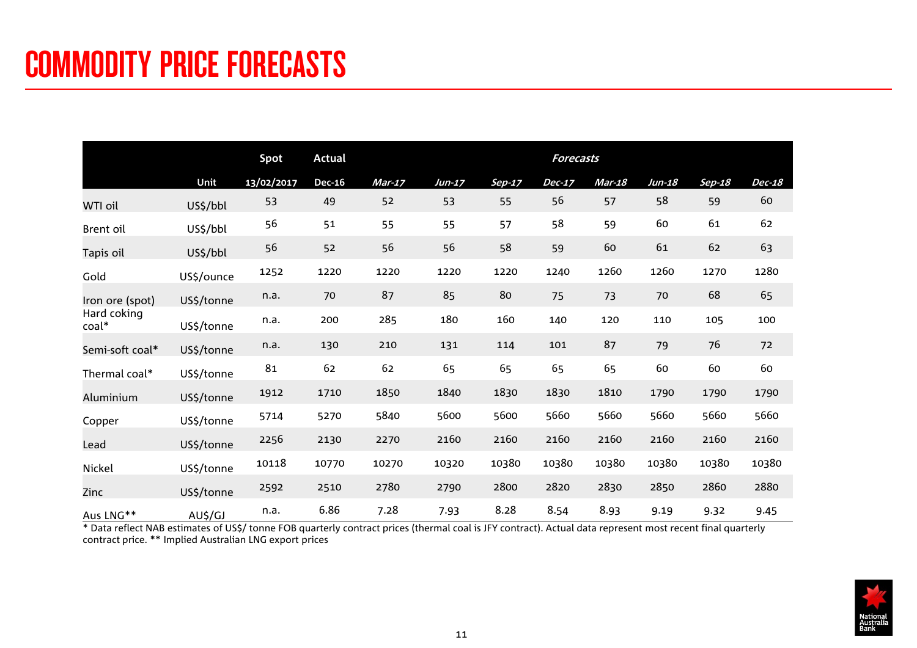# COMMODITY PRICE FORECASTS

|                                         |            | Spot       | <b>Actual</b> | <b>Forecasts</b> |          |          |               |               |        |          |          |  |
|-----------------------------------------|------------|------------|---------------|------------------|----------|----------|---------------|---------------|--------|----------|----------|--|
|                                         | Unit       | 13/02/2017 | <b>Dec-16</b> | $Mar-17$         | $Jun-17$ | $Sep-17$ | <b>Dec-17</b> | <b>Mar-18</b> | Jun-18 | $Sep-18$ | $Dec-18$ |  |
| WTI oil                                 | US\$/bbl   | 53         | 49            | 52               | 53       | 55       | 56            | 57            | 58     | 59       | 60       |  |
| Brent oil                               | US\$/bbl   | 56         | 51            | 55               | 55       | 57       | 58            | 59            | 60     | 61       | 62       |  |
| Tapis oil                               | US\$/bbl   | 56         | 52            | 56               | 56       | 58       | 59            | 60            | 61     | 62       | 63       |  |
| Gold                                    | US\$/ounce | 1252       | 1220          | 1220             | 1220     | 1220     | 1240          | 1260          | 1260   | 1270     | 1280     |  |
| Iron ore (spot)<br>Hard coking<br>coal* | US\$/tonne | n.a.       | 70            | 87               | 85       | 80       | 75            | 73            | 70     | 68       | 65       |  |
|                                         | US\$/tonne | n.a.       | 200           | 285              | 180      | 160      | 140           | 120           | 110    | 105      | 100      |  |
| Semi-soft coal*                         | US\$/tonne | n.a.       | 130           | 210              | 131      | 114      | 101           | 87            | 79     | 76       | 72       |  |
| Thermal coal*                           | US\$/tonne | 81         | 62            | 62               | 65       | 65       | 65            | 65            | 60     | 60       | 60       |  |
| Aluminium                               | US\$/tonne | 1912       | 1710          | 1850             | 1840     | 1830     | 1830          | 1810          | 1790   | 1790     | 1790     |  |
| Copper                                  | US\$/tonne | 5714       | 5270          | 5840             | 5600     | 5600     | 5660          | 5660          | 5660   | 5660     | 5660     |  |
| Lead                                    | US\$/tonne | 2256       | 2130          | 2270             | 2160     | 2160     | 2160          | 2160          | 2160   | 2160     | 2160     |  |
| Nickel                                  | US\$/tonne | 10118      | 10770         | 10270            | 10320    | 10380    | 10380         | 10380         | 10380  | 10380    | 10380    |  |
| Zinc                                    | US\$/tonne | 2592       | 2510          | 2780             | 2790     | 2800     | 2820          | 2830          | 2850   | 2860     | 2880     |  |
| Aus LNG**                               | AU\$/GJ    | n.a.       | 6.86          | 7.28             | 7.93     | 8.28     | 8.54          | 8.93          | 9.19   | 9.32     | 9.45     |  |

\* Data reflect NAB estimates of US\$/ tonne FOB quarterly contract prices (thermal coal is JFY contract). Actual data represent most recent final quarterly contract price. \*\* Implied Australian LNG export prices